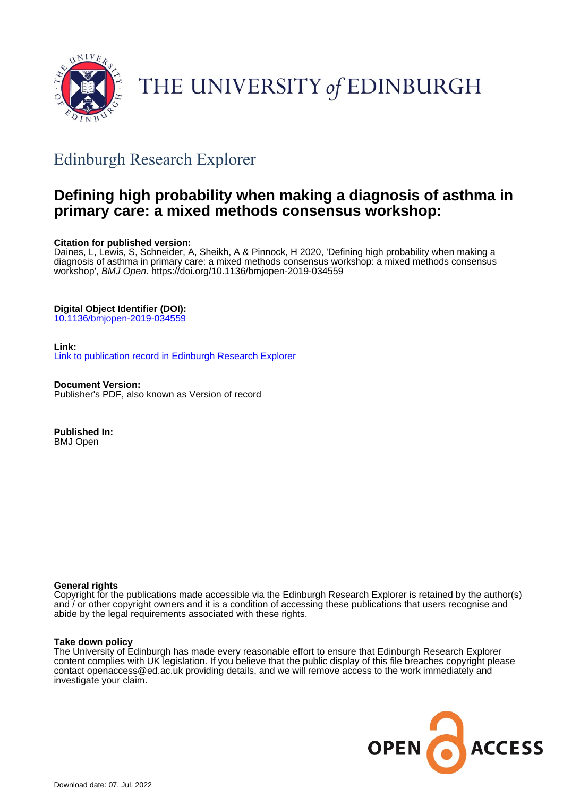

# THE UNIVERSITY of EDINBURGH

# Edinburgh Research Explorer

# **Defining high probability when making a diagnosis of asthma in primary care: a mixed methods consensus workshop:**

# **Citation for published version:**

Daines, L, Lewis, S, Schneider, A, Sheikh, A & Pinnock, H 2020, 'Defining high probability when making a diagnosis of asthma in primary care: a mixed methods consensus workshop: a mixed methods consensus workshop', BMJ Open.<https://doi.org/10.1136/bmjopen-2019-034559>

# **Digital Object Identifier (DOI):**

[10.1136/bmjopen-2019-034559](https://doi.org/10.1136/bmjopen-2019-034559)

# **Link:**

[Link to publication record in Edinburgh Research Explorer](https://www.research.ed.ac.uk/en/publications/2ccb2f6f-6492-49b6-bafb-28e451f1a4f4)

**Document Version:** Publisher's PDF, also known as Version of record

**Published In:** BMJ Open

# **General rights**

Copyright for the publications made accessible via the Edinburgh Research Explorer is retained by the author(s) and / or other copyright owners and it is a condition of accessing these publications that users recognise and abide by the legal requirements associated with these rights.

# **Take down policy**

The University of Edinburgh has made every reasonable effort to ensure that Edinburgh Research Explorer content complies with UK legislation. If you believe that the public display of this file breaches copyright please contact openaccess@ed.ac.uk providing details, and we will remove access to the work immediately and investigate your claim.

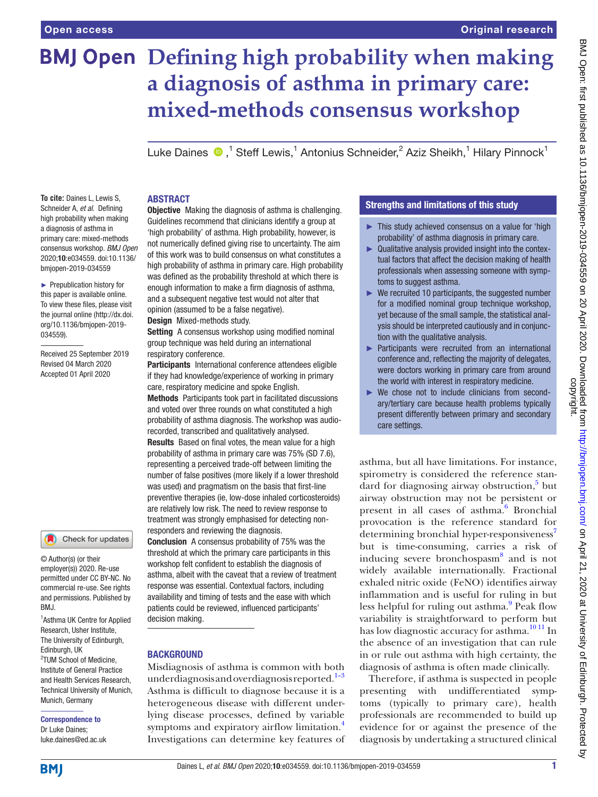# **BMJ Open Defining high probability when making a diagnosis of asthma in primary care: mixed-methods consensus workshop**

LukeDaines  $\bigcirc$ ,<sup>1</sup> Steff Lewis,<sup>1</sup> Antonius Schneider,<sup>2</sup> Aziz Sheikh,<sup>1</sup> Hilary Pinnock<sup>1</sup>

#### **To cite:** Daines L, Lewis S, Schneider A, *et al*. Defining high probability when making a diagnosis of asthma in primary care: mixed-methods consensus workshop. *BMJ Open* 2020;10:e034559. doi:10.1136/ bmjopen-2019-034559

► Prepublication history for this paper is available online. To view these files, please visit the journal online (http://dx.doi. org/10.1136/bmjopen-2019- 034559).

Received 25 September 2019 Revised 04 March 2020 Accepted 01 April 2020

#### Check for updates

© Author(s) (or their employer(s)) 2020. Re-use permitted under CC BY-NC. No commercial re-use. See rights and permissions. Published by BMJ.

1 Asthma UK Centre for Applied Research, Usher Institute, The University of Edinburgh, Edinburgh, UK 2 TUM School of Medicine, Institute of General Practice and Health Services Research, Technical University of Munich, Munich, Germany

Correspondence to Dr Luke Daines; luke.daines@ed.ac.uk

# **ABSTRACT**

**Objective** Making the diagnosis of asthma is challenging. Guidelines recommend that clinicians identify a group at 'high probability' of asthma. High probability, however, is not numerically defined giving rise to uncertainty. The aim of this work was to build consensus on what constitutes a high probability of asthma in primary care. High probability was defined as the probability threshold at which there is enough information to make a firm diagnosis of asthma, and a subsequent negative test would not alter that opinion (assumed to be a false negative).

Design Mixed-methods study.

Setting A consensus workshop using modified nominal group technique was held during an international respiratory conference.

Participants International conference attendees eligible if they had knowledge/experience of working in primary care, respiratory medicine and spoke English.

Methods Participants took part in facilitated discussions and voted over three rounds on what constituted a high probability of asthma diagnosis. The workshop was audiorecorded, transcribed and qualitatively analysed.

Results Based on final votes, the mean value for a high probability of asthma in primary care was 75% (SD 7.6), representing a perceived trade-off between limiting the number of false positives (more likely if a lower threshold was used) and pragmatism on the basis that first-line preventive therapies (ie, low-dose inhaled corticosteroids) are relatively low risk. The need to review response to treatment was strongly emphasised for detecting nonresponders and reviewing the diagnosis.

Conclusion A consensus probability of 75% was the threshold at which the primary care participants in this workshop felt confident to establish the diagnosis of asthma, albeit with the caveat that a review of treatment response was essential. Contextual factors, including availability and timing of tests and the ease with which patients could be reviewed, influenced participants' decision making.

#### **BACKGROUND**

Misdiagnosis of asthma is common with both underdiagnosis and overdiagnosis reported.<sup>1–3</sup> Asthma is difficult to diagnose because it is a heterogeneous disease with different underlying disease processes, defined by variable symptoms and expiratory airflow limitation.<sup>[4](#page-7-1)</sup> Investigations can determine key features of

# Strengths and limitations of this study

- ► This study achieved consensus on a value for 'high probability' of asthma diagnosis in primary care.
- ► Qualitative analysis provided insight into the contextual factors that affect the decision making of health professionals when assessing someone with symptoms to suggest asthma.
- $\triangleright$  We recruited 10 participants, the suggested number for a modified nominal group technique workshop, yet because of the small sample, the statistical analysis should be interpreted cautiously and in conjunction with the qualitative analysis.
- ► Participants were recruited from an international conference and, reflecting the majority of delegates, were doctors working in primary care from around the world with interest in respiratory medicine.
- ► We chose not to include clinicians from secondary/tertiary care because health problems typically present differently between primary and secondary care settings.

asthma, but all have limitations. For instance, spirometry is considered the reference standard for diagnosing airway obstruction,<sup>5</sup> but airway obstruction may not be persistent or present in all cases of asthma.<sup>[6](#page-7-3)</sup> Bronchial provocation is the reference standard for determining bronchial hyper-responsiveness<sup>7</sup> but is time-consuming, carries a risk of inducing severe bronchospasm<sup>8</sup> and is not widely available internationally. Fractional exhaled nitric oxide (FeNO) identifies airway inflammation and is useful for ruling in but less helpful for ruling out asthma.<sup>[9](#page-8-2)</sup> Peak flow variability is straightforward to perform but has low diagnostic accuracy for asthma.<sup>10 11</sup> In the absence of an investigation that can rule in or rule out asthma with high certainty, the diagnosis of asthma is often made clinically.

Therefore, if asthma is suspected in people presenting with undifferentiated symptoms (typically to primary care), health professionals are recommended to build up evidence for or against the presence of the diagnosis by undertaking a structured clinical

**BMI**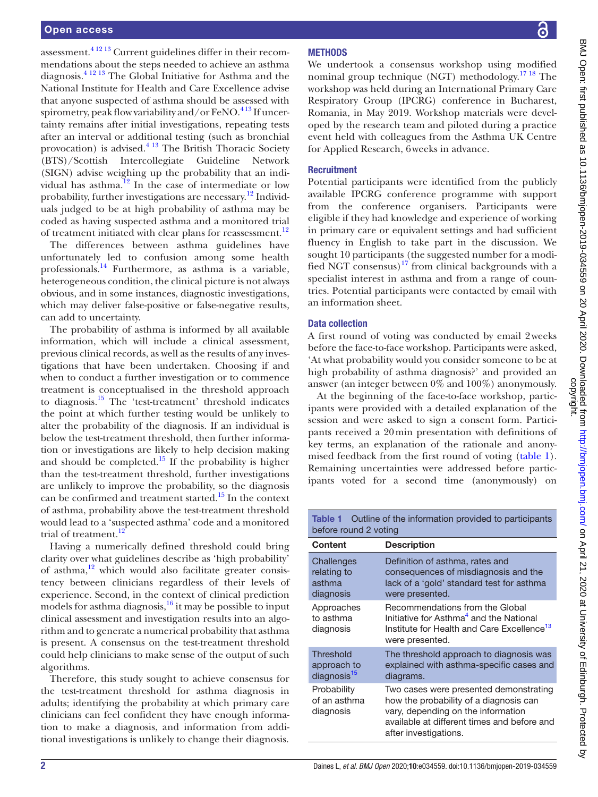assessment. $4^{12}$ <sup>13</sup> Current guidelines differ in their recommendations about the steps needed to achieve an asthma diagnosis.[4 12 13](#page-7-1) The Global Initiative for Asthma and the National Institute for Health and Care Excellence advise that anyone suspected of asthma should be assessed with spirometry, peak flow variability and/or  $FeNO.<sup>413</sup>$  If uncertainty remains after initial investigations, repeating tests after an interval or additional testing (such as bronchial provocation) is advised. $4^{13}$  The British Thoracic Society (BTS)/Scottish Intercollegiate Guideline Network (SIGN) advise weighing up the probability that an individual has asthma. $12 \text{ In the case of intermediate or low}$  $12 \text{ In the case of intermediate or low}$ probability, further investigations are necessary.<sup>12</sup> Individuals judged to be at high probability of asthma may be coded as having suspected asthma and a monitored trial of treatment initiated with clear plans for reassessment.<sup>[12](#page-8-6)</sup>

The differences between asthma guidelines have unfortunately led to confusion among some health professionals[.14](#page-8-7) Furthermore, as asthma is a variable, heterogeneous condition, the clinical picture is not always obvious, and in some instances, diagnostic investigations, which may deliver false-positive or false-negative results, can add to uncertainty.

The probability of asthma is informed by all available information, which will include a clinical assessment, previous clinical records, as well as the results of any investigations that have been undertaken. Choosing if and when to conduct a further investigation or to commence treatment is conceptualised in the threshold approach to diagnosis. $15$  The 'test-treatment' threshold indicates the point at which further testing would be unlikely to alter the probability of the diagnosis. If an individual is below the test-treatment threshold, then further information or investigations are likely to help decision making and should be completed.<sup>15</sup> If the probability is higher than the test-treatment threshold, further investigations are unlikely to improve the probability, so the diagnosis can be confirmed and treatment started[.15](#page-8-5) In the context of asthma, probability above the test-treatment threshold would lead to a 'suspected asthma' code and a monitored trial of treatment.<sup>[12](#page-8-6)</sup>

Having a numerically defined threshold could bring clarity over what guidelines describe as 'high probability' of asthma, $\frac{12}{12}$  $\frac{12}{12}$  $\frac{12}{12}$  which would also facilitate greater consistency between clinicians regardless of their levels of experience. Second, in the context of clinical prediction models for asthma diagnosis, $16$  it may be possible to input clinical assessment and investigation results into an algorithm and to generate a numerical probability that asthma is present. A consensus on the test-treatment threshold could help clinicians to make sense of the output of such algorithms.

Therefore, this study sought to achieve consensus for the test-treatment threshold for asthma diagnosis in adults; identifying the probability at which primary care clinicians can feel confident they have enough information to make a diagnosis, and information from additional investigations is unlikely to change their diagnosis.

# **METHODS**

We undertook a consensus workshop using modified nominal group technique (NGT) methodology.<sup>17</sup> 18 The workshop was held during an International Primary Care Respiratory Group (IPCRG) conference in Bucharest, Romania, in May 2019. Workshop materials were developed by the research team and piloted during a practice event held with colleagues from the Asthma UK Centre for Applied Research, 6weeks in advance.

#### **Recruitment**

Potential participants were identified from the publicly available IPCRG conference programme with support from the conference organisers. Participants were eligible if they had knowledge and experience of working in primary care or equivalent settings and had sufficient fluency in English to take part in the discussion. We sought 10 participants (the suggested number for a modified NGT consensus)<sup>17</sup> from clinical backgrounds with a specialist interest in asthma and from a range of countries. Potential participants were contacted by email with an information sheet.

## Data collection

A first round of voting was conducted by email 2weeks before the face-to-face workshop. Participants were asked, 'At what probability would you consider someone to be at high probability of asthma diagnosis?' and provided an answer (an integer between 0% and 100%) anonymously.

At the beginning of the face-to-face workshop, participants were provided with a detailed explanation of the session and were asked to sign a consent form. Participants received a 20min presentation with definitions of key terms, an explanation of the rationale and anonymised feedback from the first round of voting ([table](#page-2-0) 1). Remaining uncertainties were addressed before participants voted for a second time (anonymously) on

<span id="page-2-0"></span>

|                       | <b>Table 1</b> Outline of the information provided to participants |  |  |  |
|-----------------------|--------------------------------------------------------------------|--|--|--|
| before round 2 voting |                                                                    |  |  |  |

| <b>Content</b>                                             | <b>Description</b>                                                                                                                                                                             |
|------------------------------------------------------------|------------------------------------------------------------------------------------------------------------------------------------------------------------------------------------------------|
| Challenges<br>relating to<br>asthma<br>diagnosis           | Definition of asthma, rates and<br>consequences of misdiagnosis and the<br>lack of a 'gold' standard test for asthma<br>were presented.                                                        |
| Approaches<br>to asthma<br>diagnosis                       | Recommendations from the Global<br>Initiative for Asthma <sup>4</sup> and the National<br>Institute for Health and Care Excellence <sup>13</sup><br>were presented.                            |
| <b>Threshold</b><br>approach to<br>diagnosis <sup>15</sup> | The threshold approach to diagnosis was<br>explained with asthma-specific cases and<br>diagrams.                                                                                               |
| Probability<br>of an asthma<br>diagnosis                   | Two cases were presented demonstrating<br>how the probability of a diagnosis can<br>vary, depending on the information<br>available at different times and before and<br>after investigations. |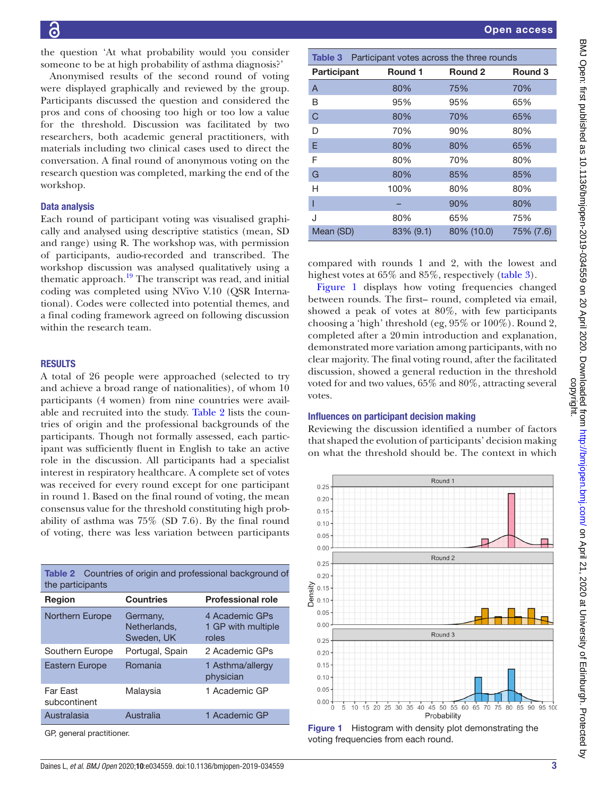the question 'At what probability would you consider someone to be at high probability of asthma diagnosis?'

Anonymised results of the second round of voting were displayed graphically and reviewed by the group. Participants discussed the question and considered the pros and cons of choosing too high or too low a value for the threshold. Discussion was facilitated by two researchers, both academic general practitioners, with materials including two clinical cases used to direct the conversation. A final round of anonymous voting on the research question was completed, marking the end of the workshop.

#### Data analysis

Each round of participant voting was visualised graphically and analysed using descriptive statistics (mean, SD and range) using R. The workshop was, with permission of participants, audio-recorded and transcribed. The workshop discussion was analysed qualitatively using a thematic approach.[19](#page-8-10) The transcript was read, and initial coding was completed using NVivo V.10 (QSR International). Codes were collected into potential themes, and a final coding framework agreed on following discussion within the research team.

#### **RESULTS**

A total of 26 people were approached (selected to try and achieve a broad range of nationalities), of whom 10 participants (4 women) from nine countries were available and recruited into the study. [Table](#page-3-0) 2 lists the countries of origin and the professional backgrounds of the participants. Though not formally assessed, each participant was sufficiently fluent in English to take an active role in the discussion. All participants had a specialist interest in respiratory healthcare. A complete set of votes was received for every round except for one participant in round 1. Based on the final round of voting, the mean consensus value for the threshold constituting high probability of asthma was 75% (SD 7.6). By the final round of voting, there was less variation between participants

<span id="page-3-0"></span>

| Table 2 Countries of origin and professional background of<br>the participants |                                        |                                               |  |  |  |  |
|--------------------------------------------------------------------------------|----------------------------------------|-----------------------------------------------|--|--|--|--|
| <b>Region</b>                                                                  | <b>Countries</b>                       | <b>Professional role</b>                      |  |  |  |  |
| Northern Europe                                                                | Germany,<br>Netherlands.<br>Sweden, UK | 4 Academic GPs<br>1 GP with multiple<br>roles |  |  |  |  |
| Southern Europe                                                                | Portugal, Spain                        | 2 Academic GPs                                |  |  |  |  |
| Eastern Europe                                                                 | Romania                                | 1 Asthma/allergy<br>physician                 |  |  |  |  |
| Far Fast<br>subcontinent                                                       | Malaysia                               | 1 Academic GP                                 |  |  |  |  |
| Australasia                                                                    | Australia                              | 1 Academic GP                                 |  |  |  |  |
| GP, general practitioner.                                                      |                                        |                                               |  |  |  |  |

<span id="page-3-1"></span>

| <b>Table 3</b> Participant votes across the three rounds |           |            |           |  |  |
|----------------------------------------------------------|-----------|------------|-----------|--|--|
| <b>Participant</b>                                       | Round 1   | Round 2    | Round 3   |  |  |
| A                                                        | 80%       | 75%        | 70%       |  |  |
| B                                                        | 95%       | 95%        | 65%       |  |  |
| C                                                        | 80%       | 70%        | 65%       |  |  |
| D                                                        | 70%       | 90%        | 80%       |  |  |
| E                                                        | 80%       | 80%        | 65%       |  |  |
| F                                                        | 80%       | 70%        | 80%       |  |  |
| G                                                        | 80%       | 85%        | 85%       |  |  |
| н                                                        | 100%      | 80%        | 80%       |  |  |
|                                                          |           | 90%        | 80%       |  |  |
| J                                                        | 80%       | 65%        | 75%       |  |  |
| Mean (SD)                                                | 83% (9.1) | 80% (10.0) | 75% (7.6) |  |  |

compared with rounds 1 and 2, with the lowest and highest votes at 65% and 85%, respectively [\(table](#page-3-1) 3).

[Figure](#page-3-2) 1 displays how voting frequencies changed between rounds. The first– round, completed via email, showed a peak of votes at 80%, with few participants choosing a 'high' threshold (eg, 95% or 100%). Round 2, completed after a 20min introduction and explanation, demonstrated more variation among participants, with no clear majority. The final voting round, after the facilitated discussion, showed a general reduction in the threshold voted for and two values, 65% and 80%, attracting several votes.

#### Influences on participant decision making

Reviewing the discussion identified a number of factors that shaped the evolution of participants' decision making on what the threshold should be. The context in which



<span id="page-3-2"></span>Figure 1 Histogram with density plot demonstrating the voting frequencies from each round.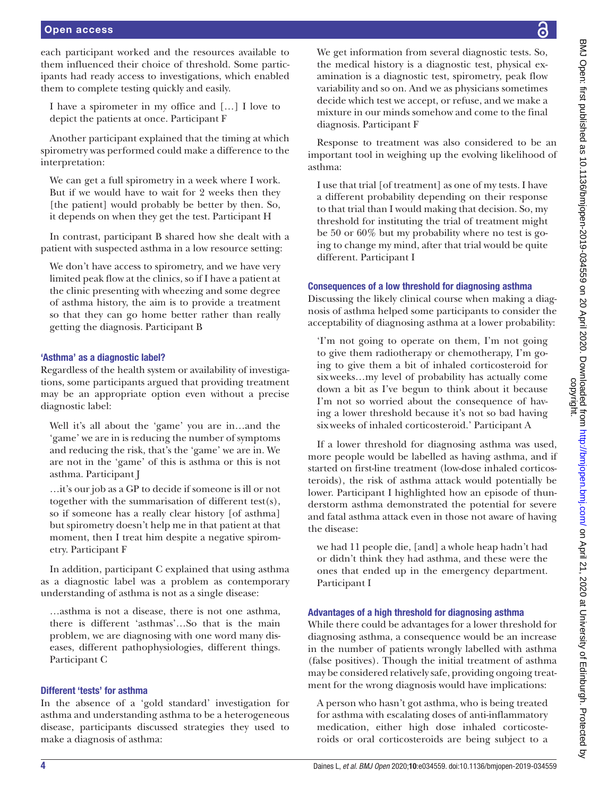each participant worked and the resources available to them influenced their choice of threshold. Some participants had ready access to investigations, which enabled them to complete testing quickly and easily.

I have a spirometer in my office and […] I love to depict the patients at once. Participant F

Another participant explained that the timing at which spirometry was performed could make a difference to the interpretation:

We can get a full spirometry in a week where I work. But if we would have to wait for 2 weeks then they [the patient] would probably be better by then. So, it depends on when they get the test. Participant H

In contrast, participant B shared how she dealt with a patient with suspected asthma in a low resource setting:

We don't have access to spirometry, and we have very limited peak flow at the clinics, so if I have a patient at the clinic presenting with wheezing and some degree of asthma history, the aim is to provide a treatment so that they can go home better rather than really getting the diagnosis. Participant B

# 'Asthma' as a diagnostic label?

Regardless of the health system or availability of investigations, some participants argued that providing treatment may be an appropriate option even without a precise diagnostic label:

Well it's all about the 'game' you are in…and the 'game' we are in is reducing the number of symptoms and reducing the risk, that's the 'game' we are in. We are not in the 'game' of this is asthma or this is not asthma. Participant J

…it's our job as a GP to decide if someone is ill or not together with the summarisation of different test(s), so if someone has a really clear history [of asthma] but spirometry doesn't help me in that patient at that moment, then I treat him despite a negative spirometry. Participant F

In addition, participant C explained that using asthma as a diagnostic label was a problem as contemporary understanding of asthma is not as a single disease:

…asthma is not a disease, there is not one asthma, there is different 'asthmas'…So that is the main problem, we are diagnosing with one word many diseases, different pathophysiologies, different things. Participant C

# Different 'tests' for asthma

In the absence of a 'gold standard' investigation for asthma and understanding asthma to be a heterogeneous disease, participants discussed strategies they used to make a diagnosis of asthma:

We get information from several diagnostic tests. So, the medical history is a diagnostic test, physical examination is a diagnostic test, spirometry, peak flow variability and so on. And we as physicians sometimes decide which test we accept, or refuse, and we make a mixture in our minds somehow and come to the final diagnosis. Participant F

Response to treatment was also considered to be an important tool in weighing up the evolving likelihood of asthma:

I use that trial [of treatment] as one of my tests. I have a different probability depending on their response to that trial than I would making that decision. So, my threshold for instituting the trial of treatment might be 50 or 60% but my probability where no test is going to change my mind, after that trial would be quite different. Participant I

# Consequences of a low threshold for diagnosing asthma

Discussing the likely clinical course when making a diagnosis of asthma helped some participants to consider the acceptability of diagnosing asthma at a lower probability:

'I'm not going to operate on them, I'm not going to give them radiotherapy or chemotherapy, I'm going to give them a bit of inhaled corticosteroid for sixweeks…my level of probability has actually come down a bit as I've begun to think about it because I'm not so worried about the consequence of having a lower threshold because it's not so bad having sixweeks of inhaled corticosteroid.' Participant A

If a lower threshold for diagnosing asthma was used, more people would be labelled as having asthma, and if started on first-line treatment (low-dose inhaled corticosteroids), the risk of asthma attack would potentially be lower. Participant I highlighted how an episode of thunderstorm asthma demonstrated the potential for severe and fatal asthma attack even in those not aware of having the disease:

we had 11 people die, [and] a whole heap hadn't had or didn't think they had asthma, and these were the ones that ended up in the emergency department. Participant I

# Advantages of a high threshold for diagnosing asthma

While there could be advantages for a lower threshold for diagnosing asthma, a consequence would be an increase in the number of patients wrongly labelled with asthma (false positives). Though the initial treatment of asthma may be considered relatively safe, providing ongoing treatment for the wrong diagnosis would have implications:

A person who hasn't got asthma, who is being treated for asthma with escalating doses of anti-inflammatory medication, either high dose inhaled corticosteroids or oral corticosteroids are being subject to a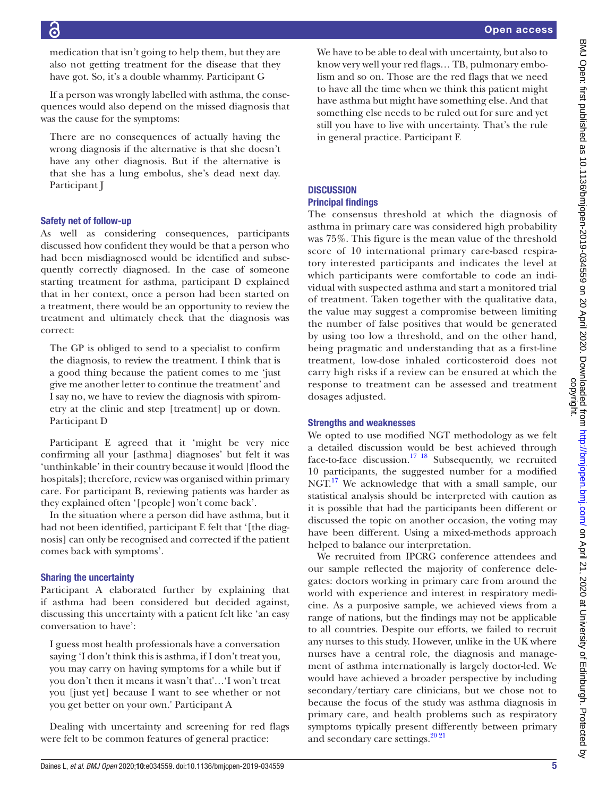medication that isn't going to help them, but they are also not getting treatment for the disease that they have got. So, it's a double whammy. Participant G

If a person was wrongly labelled with asthma, the consequences would also depend on the missed diagnosis that was the cause for the symptoms:

There are no consequences of actually having the wrong diagnosis if the alternative is that she doesn't have any other diagnosis. But if the alternative is that she has a lung embolus, she's dead next day. Participant J

## Safety net of follow-up

As well as considering consequences, participants discussed how confident they would be that a person who had been misdiagnosed would be identified and subsequently correctly diagnosed. In the case of someone starting treatment for asthma, participant D explained that in her context, once a person had been started on a treatment, there would be an opportunity to review the treatment and ultimately check that the diagnosis was correct:

The GP is obliged to send to a specialist to confirm the diagnosis, to review the treatment. I think that is a good thing because the patient comes to me 'just give me another letter to continue the treatment' and I say no, we have to review the diagnosis with spirometry at the clinic and step [treatment] up or down. Participant D

Participant E agreed that it 'might be very nice confirming all your [asthma] diagnoses' but felt it was 'unthinkable' in their country because it would [flood the hospitals]; therefore, review was organised within primary care. For participant B, reviewing patients was harder as they explained often '[people] won't come back'.

In the situation where a person did have asthma, but it had not been identified, participant E felt that '[the diagnosis] can only be recognised and corrected if the patient comes back with symptoms'.

#### Sharing the uncertainty

Participant A elaborated further by explaining that if asthma had been considered but decided against, discussing this uncertainty with a patient felt like 'an easy conversation to have':

I guess most health professionals have a conversation saying 'I don't think this is asthma, if I don't treat you, you may carry on having symptoms for a while but if you don't then it means it wasn't that'…'I won't treat you [just yet] because I want to see whether or not you get better on your own.' Participant A

Dealing with uncertainty and screening for red flags were felt to be common features of general practice:

We have to be able to deal with uncertainty, but also to know very well your red flags… TB, pulmonary embolism and so on. Those are the red flags that we need to have all the time when we think this patient might have asthma but might have something else. And that something else needs to be ruled out for sure and yet still you have to live with uncertainty. That's the rule in general practice. Participant E

# **DISCUSSION** Principal findings

The consensus threshold at which the diagnosis of asthma in primary care was considered high probability was 75%. This figure is the mean value of the threshold score of 10 international primary care-based respiratory interested participants and indicates the level at which participants were comfortable to code an individual with suspected asthma and start a monitored trial of treatment. Taken together with the qualitative data, the value may suggest a compromise between limiting the number of false positives that would be generated by using too low a threshold, and on the other hand, being pragmatic and understanding that as a first-line treatment, low-dose inhaled corticosteroid does not carry high risks if a review can be ensured at which the response to treatment can be assessed and treatment dosages adjusted.

# Strengths and weaknesses

We opted to use modified NGT methodology as we felt a detailed discussion would be best achieved through face-to-face discussion.<sup>17 18</sup> Subsequently, we recruited 10 participants, the suggested number for a modified NGT.<sup>17</sup> We acknowledge that with a small sample, our statistical analysis should be interpreted with caution as it is possible that had the participants been different or discussed the topic on another occasion, the voting may have been different. Using a mixed-methods approach helped to balance our interpretation.

We recruited from IPCRG conference attendees and our sample reflected the majority of conference delegates: doctors working in primary care from around the world with experience and interest in respiratory medicine. As a purposive sample, we achieved views from a range of nations, but the findings may not be applicable to all countries. Despite our efforts, we failed to recruit any nurses to this study. However, unlike in the UK where nurses have a central role, the diagnosis and management of asthma internationally is largely doctor-led. We would have achieved a broader perspective by including secondary/tertiary care clinicians, but we chose not to because the focus of the study was asthma diagnosis in primary care, and health problems such as respiratory symptoms typically present differently between primary and secondary care settings.<sup>[20 21](#page-8-11)</sup>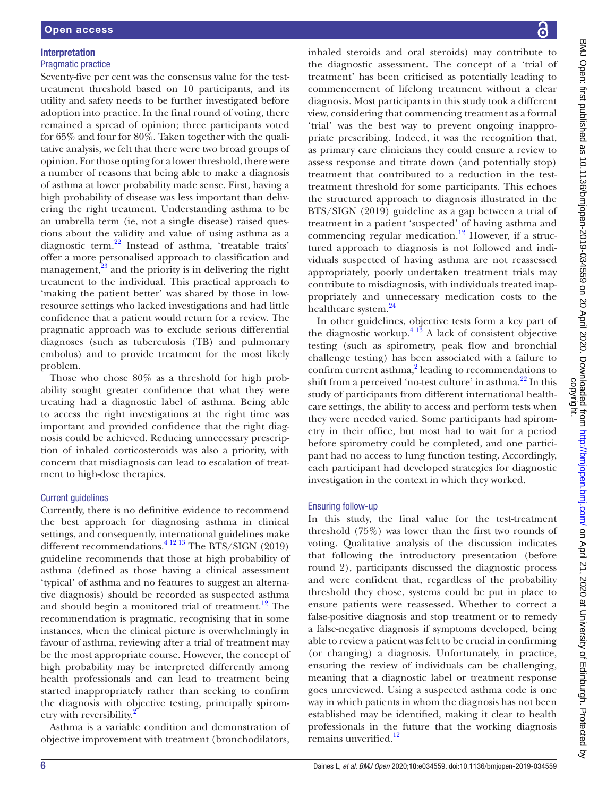# Interpretation

#### Pragmatic practice

Seventy-five per cent was the consensus value for the testtreatment threshold based on 10 participants, and its utility and safety needs to be further investigated before adoption into practice. In the final round of voting, there remained a spread of opinion; three participants voted for 65% and four for 80%. Taken together with the qualitative analysis, we felt that there were two broad groups of opinion. For those opting for a lower threshold, there were a number of reasons that being able to make a diagnosis of asthma at lower probability made sense. First, having a high probability of disease was less important than delivering the right treatment. Understanding asthma to be an umbrella term (ie, not a single disease) raised questions about the validity and value of using asthma as a diagnostic term.[22](#page-8-12) Instead of asthma, 'treatable traits' offer a more personalised approach to classification and management, $^{23}$  and the priority is in delivering the right treatment to the individual. This practical approach to 'making the patient better' was shared by those in lowresource settings who lacked investigations and had little confidence that a patient would return for a review. The pragmatic approach was to exclude serious differential diagnoses (such as tuberculosis (TB) and pulmonary embolus) and to provide treatment for the most likely problem.

Those who chose 80% as a threshold for high probability sought greater confidence that what they were treating had a diagnostic label of asthma. Being able to access the right investigations at the right time was important and provided confidence that the right diagnosis could be achieved. Reducing unnecessary prescription of inhaled corticosteroids was also a priority, with concern that misdiagnosis can lead to escalation of treatment to high-dose therapies.

#### Current guidelines

Currently, there is no definitive evidence to recommend the best approach for diagnosing asthma in clinical settings, and consequently, international guidelines make different recommendations.<sup>4 12 13</sup> The BTS/SIGN (2019) guideline recommends that those at high probability of asthma (defined as those having a clinical assessment 'typical' of asthma and no features to suggest an alternative diagnosis) should be recorded as suspected asthma and should begin a monitored trial of treatment.<sup>12</sup> The recommendation is pragmatic, recognising that in some instances, when the clinical picture is overwhelmingly in favour of asthma, reviewing after a trial of treatment may be the most appropriate course. However, the concept of high probability may be interpreted differently among health professionals and can lead to treatment being started inappropriately rather than seeking to confirm the diagnosis with objective testing, principally spirom-etry with reversibility.<sup>[2](#page-7-4)</sup>

Asthma is a variable condition and demonstration of objective improvement with treatment (bronchodilators,

inhaled steroids and oral steroids) may contribute to the diagnostic assessment. The concept of a 'trial of treatment' has been criticised as potentially leading to commencement of lifelong treatment without a clear diagnosis. Most participants in this study took a different view, considering that commencing treatment as a formal 'trial' was the best way to prevent ongoing inappropriate prescribing. Indeed, it was the recognition that, as primary care clinicians they could ensure a review to assess response and titrate down (and potentially stop) treatment that contributed to a reduction in the testtreatment threshold for some participants. This echoes the structured approach to diagnosis illustrated in the BTS/SIGN (2019) guideline as a gap between a trial of treatment in a patient 'suspected' of having asthma and commencing regular medication.<sup>12</sup> However, if a structured approach to diagnosis is not followed and individuals suspected of having asthma are not reassessed appropriately, poorly undertaken treatment trials may contribute to misdiagnosis, with individuals treated inappropriately and unnecessary medication costs to the healthcare system.<sup>[24](#page-8-14)</sup>

In other guidelines, objective tests form a key part of the diagnostic workup. $4^{13}$  A lack of consistent objective testing (such as spirometry, peak flow and bronchial challenge testing) has been associated with a failure to confirm current asthma,<sup>[2](#page-7-4)</sup> leading to recommendations to shift from a perceived 'no-test culture' in asthma.<sup>22</sup> In this study of participants from different international healthcare settings, the ability to access and perform tests when they were needed varied. Some participants had spirometry in their office, but most had to wait for a period before spirometry could be completed, and one participant had no access to lung function testing. Accordingly, each participant had developed strategies for diagnostic investigation in the context in which they worked.

#### Ensuring follow-up

In this study, the final value for the test-treatment threshold (75%) was lower than the first two rounds of voting. Qualitative analysis of the discussion indicates that following the introductory presentation (before round 2), participants discussed the diagnostic process and were confident that, regardless of the probability threshold they chose, systems could be put in place to ensure patients were reassessed. Whether to correct a false-positive diagnosis and stop treatment or to remedy a false-negative diagnosis if symptoms developed, being able to review a patient was felt to be crucial in confirming (or changing) a diagnosis. Unfortunately, in practice, ensuring the review of individuals can be challenging, meaning that a diagnostic label or treatment response goes unreviewed. Using a suspected asthma code is one way in which patients in whom the diagnosis has not been established may be identified, making it clear to health professionals in the future that the working diagnosis remains unverified.<sup>12</sup>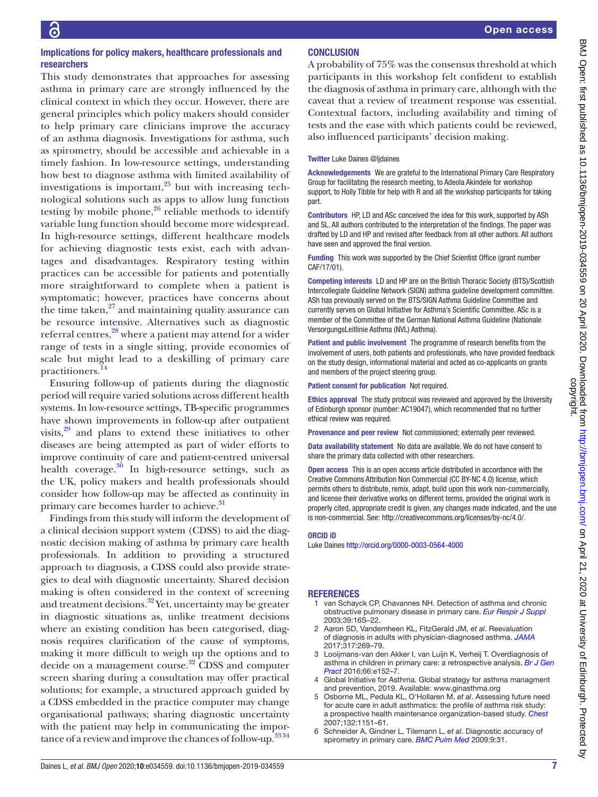## Implications for policy makers, healthcare professionals and researchers

This study demonstrates that approaches for assessing asthma in primary care are strongly influenced by the clinical context in which they occur. However, there are general principles which policy makers should consider to help primary care clinicians improve the accuracy of an asthma diagnosis. Investigations for asthma, such as spirometry, should be accessible and achievable in a timely fashion. In low-resource settings, understanding how best to diagnose asthma with limited availability of investigations is important, $25$  but with increasing technological solutions such as apps to allow lung function testing by mobile phone, $26$  reliable methods to identify variable lung function should become more widespread. In high-resource settings, different healthcare models for achieving diagnostic tests exist, each with advantages and disadvantages. Respiratory testing within practices can be accessible for patients and potentially more straightforward to complete when a patient is symptomatic; however, practices have concerns about the time taken, $^{27}$  and maintaining quality assurance can be resource intensive. Alternatives such as diagnostic referral centres,<sup>[28](#page-8-18)</sup> where a patient may attend for a wider range of tests in a single sitting, provide economies of scale but might lead to a deskilling of primary care practitioners.<sup>[14](#page-8-7)</sup>

Ensuring follow-up of patients during the diagnostic period will require varied solutions across different health systems. In low-resource settings, TB-specific programmes have shown improvements in follow-up after outpatient visits, $29$  and plans to extend these initiatives to other diseases are being attempted as part of wider efforts to improve continuity of care and patient-centred universal health coverage. $30$  In high-resource settings, such as the UK, policy makers and health professionals should consider how follow-up may be affected as continuity in primary care becomes harder to achieve.<sup>[31](#page-8-21)</sup>

Findings from this study will inform the development of a clinical decision support system (CDSS) to aid the diagnostic decision making of asthma by primary care health professionals. In addition to providing a structured approach to diagnosis, a CDSS could also provide strategies to deal with diagnostic uncertainty. Shared decision making is often considered in the context of screening and treatment decisions.<sup>32</sup> Yet, uncertainty may be greater in diagnostic situations as, unlike treatment decisions where an existing condition has been categorised, diagnosis requires clarification of the cause of symptoms, making it more difficult to weigh up the options and to decide on a management course.<sup>32</sup> CDSS and computer screen sharing during a consultation may offer practical solutions; for example, a structured approach guided by a CDSS embedded in the practice computer may change organisational pathways; sharing diagnostic uncertainty with the patient may help in communicating the importance of a review and improve the chances of follow-up.<sup>3334</sup>

# **CONCLUSION**

A probability of 75% was the consensus threshold at which participants in this workshop felt confident to establish the diagnosis of asthma in primary care, although with the caveat that a review of treatment response was essential. Contextual factors, including availability and timing of tests and the ease with which patients could be reviewed, also influenced participants' decision making.

Twitter Luke Daines [@ljdaines](https://twitter.com/ljdaines)

Acknowledgements We are grateful to the International Primary Care Respiratory Group for facilitating the research meeting, to Adeola Akindele for workshop support, to Holly Tibble for help with R and all the workshop participants for taking part.

Contributors HP, LD and ASc conceived the idea for this work, supported by ASh and SL. All authors contributed to the interpretation of the findings. The paper was drafted by LD and HP and revised after feedback from all other authors. All authors have seen and approved the final version.

Funding This work was supported by the Chief Scientist Office (grant number CAF/17/01).

Competing interests LD and HP are on the British Thoracic Society (BTS)/Scottish Intercollegiate Guideline Network (SIGN) asthma guideline development committee. ASh has previously served on the BTS/SIGN Asthma Guideline Committee and currently serves on Global Initiative for Asthma's Scientific Committee. ASc is a member of the Committee of the German National Asthma Guideline (Nationale VersorgungsLeitlinie Asthma (NVL) Asthma).

Patient and public involvement The programme of research benefits from the involvement of users, both patients and professionals, who have provided feedback on the study design, informational material and acted as co-applicants on grants and members of the project steering group.

Patient consent for publication Not required.

Ethics approval The study protocol was reviewed and approved by the University of Edinburgh sponsor (number: AC19047), which recommended that no further ethical review was required.

Provenance and peer review Not commissioned; externally peer reviewed.

Data availability statement No data are available. We do not have consent to share the primary data collected with other researchers.

Open access This is an open access article distributed in accordance with the Creative Commons Attribution Non Commercial (CC BY-NC 4.0) license, which permits others to distribute, remix, adapt, build upon this work non-commercially, and license their derivative works on different terms, provided the original work is properly cited, appropriate credit is given, any changes made indicated, and the use is non-commercial. See: [http://creativecommons.org/licenses/by-nc/4.0/.](http://creativecommons.org/licenses/by-nc/4.0/)

#### ORCID iD

Luke Daines<http://orcid.org/0000-0003-0564-4000>

#### <span id="page-7-0"></span>**REFERENCES**

- 1 van Schayck CP, Chavannes NH. Detection of asthma and chronic obstructive pulmonary disease in primary care. *[Eur Respir J Suppl](http://dx.doi.org/10.1183/09031936.03.00040403)* 2003;39:16S–22.
- <span id="page-7-4"></span>2 Aaron SD, Vandemheen KL, FitzGerald JM, *et al*. Reevaluation of diagnosis in adults with physician-diagnosed asthma. *[JAMA](http://dx.doi.org/10.1001/jama.2016.19627)* 2017;317:269–79.
- 3 Looijmans-van den Akker I, van Luijn K, Verheij T. Overdiagnosis of asthma in children in primary care: a retrospective analysis. *[Br J Gen](http://dx.doi.org/10.3399/bjgp16X683965)  [Pract](http://dx.doi.org/10.3399/bjgp16X683965)* 2016;66:e152–7.
- <span id="page-7-1"></span>4 Global Initiative for Asthma. Global strategy for asthma managment and prevention, 2019. Available:<www.ginasthma.org>
- <span id="page-7-2"></span>5 Osborne ML, Pedula KL, O'Hollaren M, *et al*. Assessing future need for acute care in adult asthmatics: the profile of asthma risk study: a prospective health maintenance organization-based study. *[Chest](http://dx.doi.org/10.1378/chest.05-3084)* 2007;132:1151–61.
- <span id="page-7-3"></span>6 Schneider A, Gindner L, Tilemann L, *et al*. Diagnostic accuracy of spirometry in primary care. *[BMC Pulm Med](http://dx.doi.org/10.1186/1471-2466-9-31)* 2009;9:31.